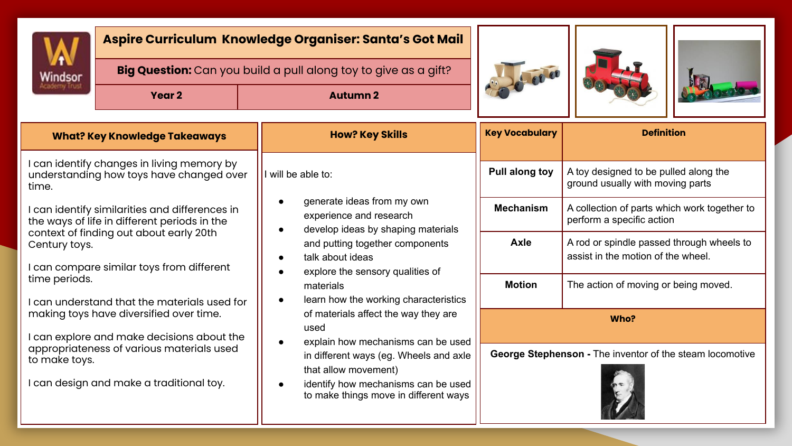

## **Aspire Curriculum Knowledge Organiser: Santa's Got Mail**

 **Big Question:** Can you build a pull along toy to give as a gift?

**Year 2 Autumn 2**







| <b>What? Key Knowledge Takeaways</b>                                                                   | <b>How? Key Skills</b>                                                                                                                                                                                                                                                                                                                                                                                                                                                                                                                                                    | <b>Key Vocabulary</b>                                          | <b>Definition</b>                                                               |  |  |
|--------------------------------------------------------------------------------------------------------|---------------------------------------------------------------------------------------------------------------------------------------------------------------------------------------------------------------------------------------------------------------------------------------------------------------------------------------------------------------------------------------------------------------------------------------------------------------------------------------------------------------------------------------------------------------------------|----------------------------------------------------------------|---------------------------------------------------------------------------------|--|--|
| I can identify changes in living memory by<br>understanding how toys have changed over<br>time.        | will be able to:<br>generate ideas from my own<br>experience and research<br>develop ideas by shaping materials<br>$\bullet$<br>and putting together components<br>talk about ideas<br>$\bullet$<br>explore the sensory qualities of<br>materials<br>learn how the working characteristics<br>$\bullet$<br>of materials affect the way they are<br>used<br>explain how mechanisms can be used<br>$\bullet$<br>in different ways (eg. Wheels and axle<br>that allow movement)<br>identify how mechanisms can be used<br>$\bullet$<br>to make things move in different ways | Pull along toy                                                 | A toy designed to be pulled along the<br>ground usually with moving parts       |  |  |
| I can identify similarities and differences in<br>the ways of life in different periods in the         |                                                                                                                                                                                                                                                                                                                                                                                                                                                                                                                                                                           | <b>Mechanism</b>                                               | A collection of parts which work together to<br>perform a specific action       |  |  |
| context of finding out about early 20th<br>Century toys.<br>can compare similar toys from different    |                                                                                                                                                                                                                                                                                                                                                                                                                                                                                                                                                                           | Axle                                                           | A rod or spindle passed through wheels to<br>assist in the motion of the wheel. |  |  |
| time periods.<br>I can understand that the materials used for                                          |                                                                                                                                                                                                                                                                                                                                                                                                                                                                                                                                                                           | <b>Motion</b>                                                  | The action of moving or being moved.                                            |  |  |
| making toys have diversified over time.<br>can explore and make decisions about the                    |                                                                                                                                                                                                                                                                                                                                                                                                                                                                                                                                                                           |                                                                | Who?                                                                            |  |  |
| appropriateness of various materials used<br>to make toys.<br>I can design and make a traditional toy. |                                                                                                                                                                                                                                                                                                                                                                                                                                                                                                                                                                           | George Stephenson - The inventor of the steam locomotive<br>E. |                                                                                 |  |  |